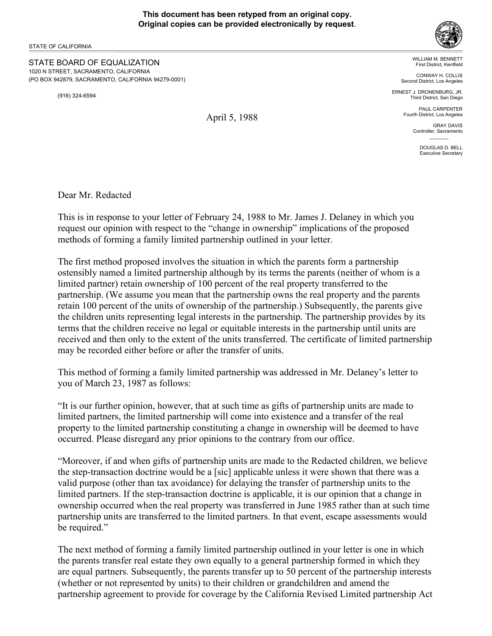## **This document has been retyped from an original copy. Original copies can be provided electronically by request**.

STATE OF CALIFORNIA

STATE BOARD OF EQUALIZATION 1020 N STREET, SACRAMENTO, CALIFORNIA (PO BOX 942879, SACRAMENTO, CALIFORNIA 94279-0001)

(916) 324-6594

WILLIAM M. BENNETT First District, Kentfield

CONWAY H. COLLIS Second District, Los Angeles

ERNEST J. DRONENBURG, JR. Third District, San Diego

> PAUL CARPENTER Fourth District, Los Angeles

> > GRAY DAVIS Controller, Sacramento  $\mathcal{L}=\mathcal{L}$

> > > DOUGLAS D. BELL Executive Secretary

Dear Mr. Redacted

This is in response to your letter of February 24, 1988 to Mr. James J. Delaney in which you request our opinion with respect to the "change in ownership" implications of the proposed methods of forming a family limited partnership outlined in your letter.

The first method proposed involves the situation in which the parents form a partnership ostensibly named a limited partnership although by its terms the parents (neither of whom is a limited partner) retain ownership of 100 percent of the real property transferred to the partnership. (We assume you mean that the partnership owns the real property and the parents retain 100 percent of the units of ownership of the partnership.) Subsequently, the parents give the children units representing legal interests in the partnership. The partnership provides by its terms that the children receive no legal or equitable interests in the partnership until units are received and then only to the extent of the units transferred. The certificate of limited partnership may be recorded either before or after the transfer of units.

This method of forming a family limited partnership was addressed in Mr. Delaney's letter to you of March 23, 1987 as follows:

"It is our further opinion, however, that at such time as gifts of partnership units are made to limited partners, the limited partnership will come into existence and a transfer of the real property to the limited partnership constituting a change in ownership will be deemed to have occurred. Please disregard any prior opinions to the contrary from our office.

"Moreover, if and when gifts of partnership units are made to the Redacted children, we believe the step-transaction doctrine would be a [sic] applicable unless it were shown that there was a valid purpose (other than tax avoidance) for delaying the transfer of partnership units to the limited partners. If the step-transaction doctrine is applicable, it is our opinion that a change in ownership occurred when the real property was transferred in June 1985 rather than at such time partnership units are transferred to the limited partners. In that event, escape assessments would be required."

The next method of forming a family limited partnership outlined in your letter is one in which the parents transfer real estate they own equally to a general partnership formed in which they are equal partners. Subsequently, the parents transfer up to 50 percent of the partnership interests (whether or not represented by units) to their children or grandchildren and amend the partnership agreement to provide for coverage by the California Revised Limited partnership Act

April 5, 1988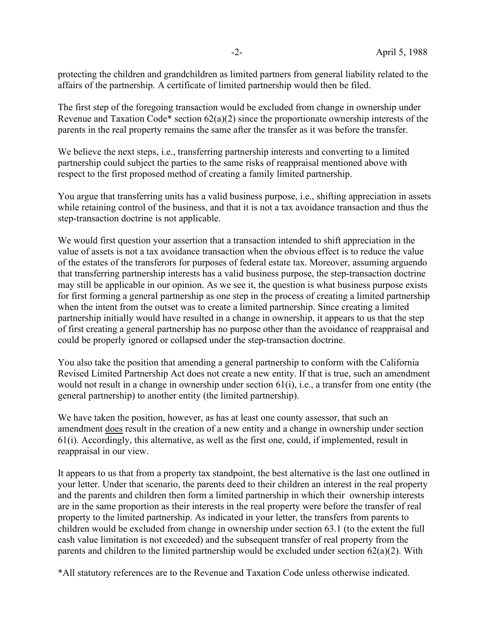protecting the children and grandchildren as limited partners from general liability related to the affairs of the partnership. A certificate of limited partnership would then be filed.

The first step of the foregoing transaction would be excluded from change in ownership under Revenue and Taxation Code\* section  $62(a)(2)$  since the proportionate ownership interests of the parents in the real property remains the same after the transfer as it was before the transfer.

We believe the next steps, i.e., transferring partnership interests and converting to a limited partnership could subject the parties to the same risks of reappraisal mentioned above with respect to the first proposed method of creating a family limited partnership.

You argue that transferring units has a valid business purpose, i.e., shifting appreciation in assets while retaining control of the business, and that it is not a tax avoidance transaction and thus the step-transaction doctrine is not applicable.

We would first question your assertion that a transaction intended to shift appreciation in the value of assets is not a tax avoidance transaction when the obvious effect is to reduce the value of the estates of the transferors for purposes of federal estate tax. Moreover, assuming arguendo that transferring partnership interests has a valid business purpose, the step-transaction doctrine may still be applicable in our opinion. As we see it, the question is what business purpose exists for first forming a general partnership as one step in the process of creating a limited partnership when the intent from the outset was to create a limited partnership. Since creating a limited partnership initially would have resulted in a change in ownership, it appears to us that the step of first creating a general partnership has no purpose other than the avoidance of reappraisal and could be properly ignored or collapsed under the step-transaction doctrine.

You also take the position that amending a general partnership to conform with the California Revised Limited Partnership Act does not create a new entity. If that is true, such an amendment would not result in a change in ownership under section 61(i), i.e., a transfer from one entity (the general partnership) to another entity (the limited partnership).

We have taken the position, however, as has at least one county assessor, that such an amendment does result in the creation of a new entity and a change in ownership under section 61(i). Accordingly, this alternative, as well as the first one, could, if implemented, result in reappraisal in our view.

It appears to us that from a property tax standpoint, the best alternative is the last one outlined in your letter. Under that scenario, the parents deed to their children an interest in the real property and the parents and children then form a limited partnership in which their ownership interests are in the same proportion as their interests in the real property were before the transfer of real property to the limited partnership. As indicated in your letter, the transfers from parents to children would be excluded from change in ownership under section 63.1 (to the extent the full cash value limitation is not exceeded) and the subsequent transfer of real property from the parents and children to the limited partnership would be excluded under section 62(a)(2). With

\*All statutory references are to the Revenue and Taxation Code unless otherwise indicated.